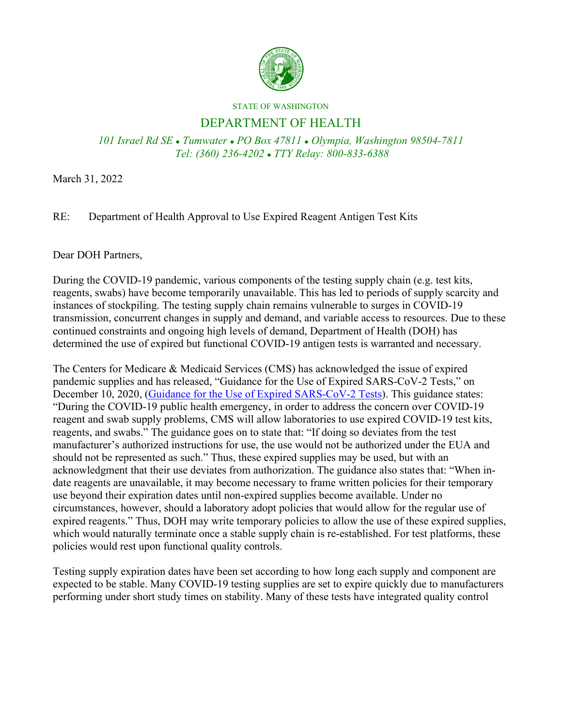

## STATE OF WASHINGTON

## DEPARTMENT OF HEALTH

*101 Israel Rd SE Tumwater PO Box 47811 Olympia, Washington 98504-7811 Tel: (360) 236-4202 TTY Relay: 800-833-6388*

March 31, 2022

## RE: Department of Health Approval to Use Expired Reagent Antigen Test Kits

## Dear DOH Partners,

During the COVID-19 pandemic, various components of the testing supply chain (e.g. test kits, reagents, swabs) have become temporarily unavailable. This has led to periods of supply scarcity and instances of stockpiling. The testing supply chain remains vulnerable to surges in COVID-19 transmission, concurrent changes in supply and demand, and variable access to resources. Due to these continued constraints and ongoing high levels of demand, Department of Health (DOH) has determined the use of expired but functional COVID-19 antigen tests is warranted and necessary.

The Centers for Medicare & Medicaid Services (CMS) has acknowledged the issue of expired pandemic supplies and has released, "Guidance for the Use of Expired SARS-CoV-2 Tests," on December 10, 2020, [\(Guidance for the Use of Expired SARS-CoV-2 Tests\)](https://www.cdc.gov/csels/dls/locs/2020/cms_guidance_for_the_use_of_expired_sars-cov-2_tests.html). This guidance states: "During the COVID-19 public health emergency, in order to address the concern over COVID-19 reagent and swab supply problems, CMS will allow laboratories to use expired COVID-19 test kits, reagents, and swabs." The guidance goes on to state that: "If doing so deviates from the test manufacturer's authorized instructions for use, the use would not be authorized under the EUA and should not be represented as such." Thus, these expired supplies may be used, but with an acknowledgment that their use deviates from authorization. The guidance also states that: "When indate reagents are unavailable, it may become necessary to frame written policies for their temporary use beyond their expiration dates until non-expired supplies become available. Under no circumstances, however, should a laboratory adopt policies that would allow for the regular use of expired reagents." Thus, DOH may write temporary policies to allow the use of these expired supplies, which would naturally terminate once a stable supply chain is re-established. For test platforms, these policies would rest upon functional quality controls.

Testing supply expiration dates have been set according to how long each supply and component are expected to be stable. Many COVID-19 testing supplies are set to expire quickly due to manufacturers performing under short study times on stability. Many of these tests have integrated quality control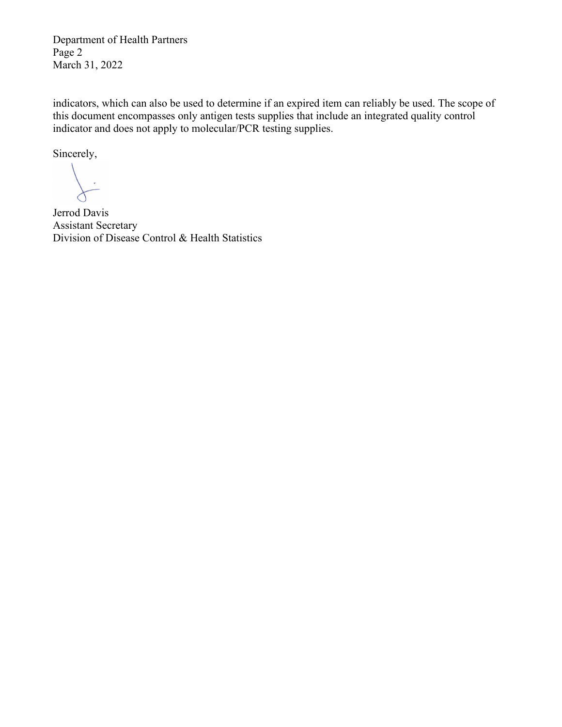Department of Health Partners Page 2 March 31, 2022

indicators, which can also be used to determine if an expired item can reliably be used. The scope of this document encompasses only antigen tests supplies that include an integrated quality control indicator and does not apply to molecular/PCR testing supplies.

Sincerely,

Jerrod Davis Assistant Secretary Division of Disease Control & Health Statistics